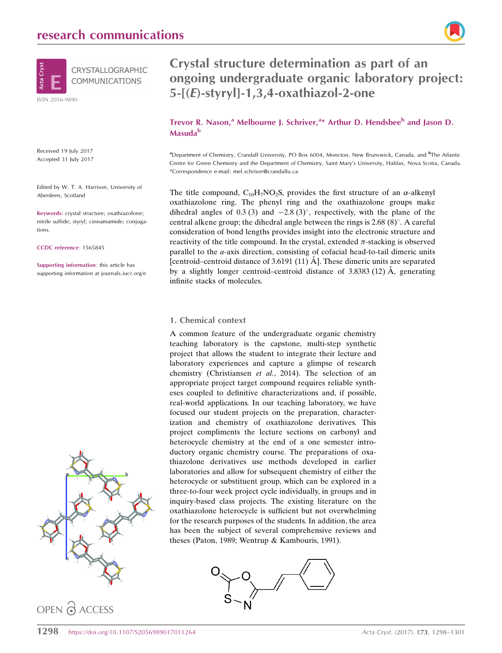

Received 19 July 2017 Accepted 31 July 2017

Edited by W. T. A. Harrison, University of Aberdeen, Scotland

Keywords: crystal structure; oxathiazolone; nitrile sulfide; styryl; cinnamamide; conjugations.

CCDC reference: 1565845

Supporting information: this article has supporting information at journals.iucr.org/e



OPEN O ACCESS

# Crystal structure determination as part of an ongoing undergraduate organic laboratory project: 5-[(E)-styryl]-1,3,4-oxathiazol-2-one

Trevor R. Nason,<sup>a</sup> Melbourne J. Schriver,<sup>a\*</sup> Arthur D. Hendsbee<sup>b</sup> and Jason D. Masuda<sup>b</sup>

a Department of Chemistry, Crandall University, PO Box 6004, Moncton, New Brunswick, Canada, and <sup>b</sup> The Atlantic Centre for Green Chemistry and the Department of Chemistry, Saint Mary's University, Halifax, Nova Scotia, Canada. \*Correspondence e-mail: mel.schriver@crandallu.ca

The title compound,  $C_{10}H_7NO_2S$ , provides the first structure of an  $\alpha$ -alkenyl oxathiazolone ring. The phenyl ring and the oxathiazolone groups make dihedral angles of 0.3 (3) and  $-2.8$  (3)°, respectively, with the plane of the central alkene group; the dihedral angle between the rings is  $2.68 \,(8)^{\circ}$ . A careful consideration of bond lengths provides insight into the electronic structure and reactivity of the title compound. In the crystal, extended  $\pi$ -stacking is observed parallel to the a-axis direction, consisting of cofacial head-to-tail dimeric units [centroid–centroid distance of 3.6191 (11)  $\AA$ ]. These dimeric units are separated by a slightly longer centroid–centroid distance of  $3.8383(12)$  Å, generating infinite stacks of molecules.

#### 1. Chemical context

A common feature of the undergraduate organic chemistry teaching laboratory is the capstone, multi-step synthetic project that allows the student to integrate their lecture and laboratory experiences and capture a glimpse of research chemistry (Christiansen et al., 2014). The selection of an appropriate project target compound requires reliable syntheses coupled to definitive characterizations and, if possible, real-world applications. In our teaching laboratory, we have focused our student projects on the preparation, characterization and chemistry of oxathiazolone derivatives. This project compliments the lecture sections on carbonyl and heterocycle chemistry at the end of a one semester introductory organic chemistry course. The preparations of oxathiazolone derivatives use methods developed in earlier laboratories and allow for subsequent chemistry of either the heterocycle or substituent group, which can be explored in a three-to-four week project cycle individually, in groups and in inquiry-based class projects. The existing literature on the oxathiazolone heterocycle is sufficient but not overwhelming for the research purposes of the students. In addition, the area has been the subject of several comprehensive reviews and theses (Paton, 1989; Wentrup & Kambouris, 1991).

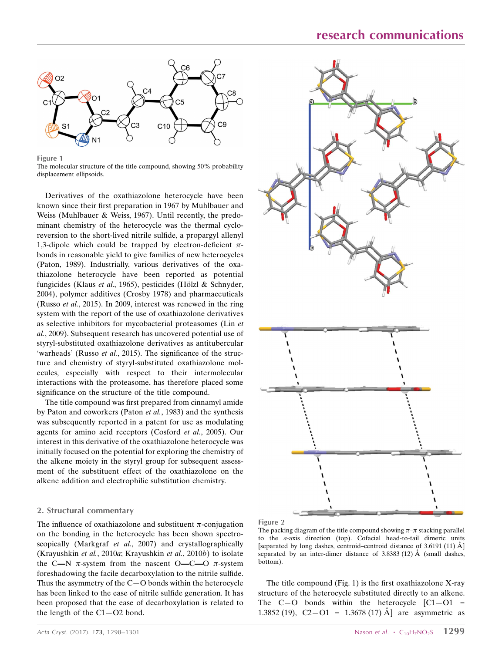

Figure 1 The molecular structure of the title compound, showing 50% probability displacement ellipsoids.

Derivatives of the oxathiazolone heterocycle have been known since their first preparation in 1967 by Muhlbauer and Weiss (Muhlbauer & Weiss, 1967). Until recently, the predominant chemistry of the heterocycle was the thermal cycloreversion to the short-lived nitrile sulfide, a propargyl allenyl 1,3-dipole which could be trapped by electron-deficient  $\pi$ bonds in reasonable yield to give families of new heterocycles (Paton, 1989). Industrially, various derivatives of the oxathiazolone heterocycle have been reported as potential fungicides (Klaus et al., 1965), pesticides (Hölzl & Schnyder, 2004), polymer additives (Crosby 1978) and pharmaceuticals (Russo et al., 2015). In 2009, interest was renewed in the ring system with the report of the use of oxathiazolone derivatives as selective inhibitors for mycobacterial proteasomes (Lin et al., 2009). Subsequent research has uncovered potential use of styryl-substituted oxathiazolone derivatives as antitubercular 'warheads' (Russo et al., 2015). The significance of the structure and chemistry of styryl-substituted oxathiazolone molecules, especially with respect to their intermolecular interactions with the proteasome, has therefore placed some significance on the structure of the title compound.

The title compound was first prepared from cinnamyl amide by Paton and coworkers (Paton et al., 1983) and the synthesis was subsequently reported in a patent for use as modulating agents for amino acid receptors (Cosford et al., 2005). Our interest in this derivative of the oxathiazolone heterocycle was initially focused on the potential for exploring the chemistry of the alkene moiety in the styryl group for subsequent assessment of the substituent effect of the oxathiazolone on the alkene addition and electrophilic substitution chemistry.

#### 2. Structural commentary

The influence of oxathiazolone and substituent  $\pi$ -conjugation on the bonding in the heterocycle has been shown spectroscopically (Markgraf *et al.*, 2007) and crystallographically (Krayushkin et al., 2010a; Krayushkin et al., 2010b) to isolate the C=N  $\pi$ -system from the nascent O=C=O  $\pi$ -system foreshadowing the facile decarboxylation to the nitrile sulfide. Thus the asymmetry of the C—O bonds within the heterocycle has been linked to the ease of nitrile sulfide generation. It has been proposed that the ease of decarboxylation is related to the length of the  $C1 - O2$  bond.



Figure 2

The packing diagram of the title compound showing  $\pi-\pi$  stacking parallel to the a-axis direction (top). Cofacial head-to-tail dimeric units [separated by long dashes, centroid–centroid distance of 3.6191 (11)  $\AA$ ] separated by an inter-dimer distance of  $3.8383(12)$  Å (small dashes, bottom).

The title compound (Fig. 1) is the first oxathiazolone X-ray structure of the heterocycle substituted directly to an alkene. The  $C-O$  bonds within the heterocycle  $[C1-O1 =$ 1.3852 (19),  $C2-O1 = 1.3678$  (17) Å are asymmetric as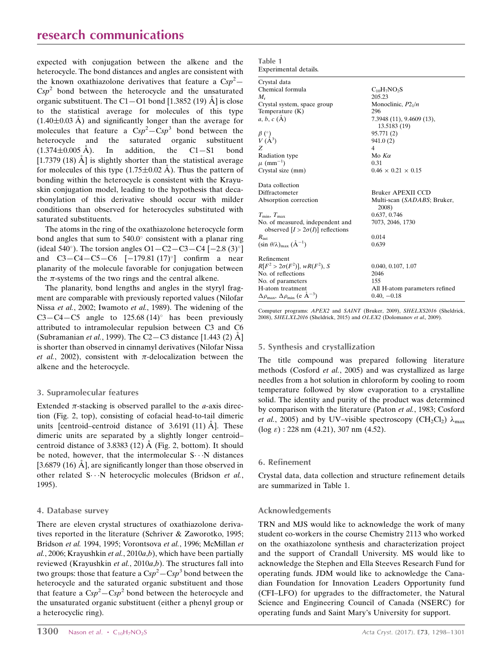expected with conjugation between the alkene and the heterocycle. The bond distances and angles are consistent with the known oxathiazolone derivatives that feature a  $Csp^2$ - $C_{s}p^{2}$  bond between the heterocycle and the unsaturated organic substituent. The C1-O1 bond [1.3852 (19)  $\AA$ ] is close to the statistical average for molecules of this type  $(1.40\pm0.03 \text{ Å})$  and significantly longer than the average for molecules that feature a  $Csp^2 - Csp^3$  bond between the heterocycle and the saturated organic substituent  $(1.374\pm0.005 \text{ Å})$ . In addition, the C1-S1 bond [1.7379 (18)  $\AA$ ] is slightly shorter than the statistical average for molecules of this type  $(1.75\pm0.02 \text{ Å})$ . Thus the pattern of bonding within the heterocycle is consistent with the Krayuskin conjugation model, leading to the hypothesis that decarbonylation of this derivative should occur with milder conditions than observed for heterocycles substituted with saturated substituents.

The atoms in the ring of the oxathiazolone heterocycle form bond angles that sum to  $540.0^{\circ}$  consistent with a planar ring (ideal 540°). The torsion angles O1 - C2 - C3 - C4 [-2.8 (3)°] and  $C3 - C4 - C5 - C6$   $[-179.81 (17)°]$  confirm a near planarity of the molecule favorable for conjugation between the  $\pi$ -systems of the two rings and the central alkene.

The planarity, bond lengths and angles in the styryl fragment are comparable with previously reported values (Nilofar Nissa et al., 2002; Iwamoto et al., 1989). The widening of the  $C3 - C4 - C5$  angle to 125.68 (14)<sup>o</sup> has been previously attributed to intramolecular repulsion between C3 and C6 (Subramanian *et al.*, 1999). The C2-C3 distance [1.443 (2)  $\AA$ ] is shorter than observed in cinnamyl derivatives (Nilofar Nissa et al., 2002), consistent with  $\pi$ -delocalization between the alkene and the heterocycle.

#### 3. Supramolecular features

Extended  $\pi$ -stacking is observed parallel to the *a*-axis direction (Fig. 2, top), consisting of cofacial head-to-tail dimeric units [centroid–centroid distance of  $3.6191(11)$  Å]. These dimeric units are separated by a slightly longer centroid– centroid distance of 3.8383 (12)  $\AA$  (Fig. 2, bottom). It should be noted, however, that the intermolecular  $S \cdots N$  distances [3.6879 (16)  $\AA$ ], are significantly longer than those observed in other related S $\cdots$ N heterocyclic molecules (Bridson et al., 1995).

#### 4. Database survey

There are eleven crystal structures of oxathiazolone derivatives reported in the literature (Schriver & Zaworotko, 1995; Bridson et al. 1994, 1995; Vorontsova et al., 1996; McMillan et  $al.$ , 2006; Krayushkin et al., 2010a,b), which have been partially reviewed (Krayushkin et al., 2010a,b). The structures fall into two groups: those that feature a  $Csp^2{-}Csp^3$  bond between the heterocycle and the saturated organic substituent and those that feature a  $Csp^2 - Csp^2$  bond between the heterocycle and the unsaturated organic substituent (either a phenyl group or a heterocyclic ring).

| Table 1 |                       |
|---------|-----------------------|
|         | Experimental details. |

| Crystal data                                                                 |                                           |
|------------------------------------------------------------------------------|-------------------------------------------|
| Chemical formula                                                             | $C_{10}H_7NO_2S$                          |
| $M_{\rm r}$                                                                  | 205.23                                    |
| Crystal system, space group                                                  | Monoclinic, $P2_1/n$                      |
| Temperature $(K)$                                                            | 296                                       |
| a, b, c (A)                                                                  | 7.3948 (11), 9.4609 (13),<br>13.5183 (19) |
|                                                                              | 95.771 (2)                                |
| $\begin{array}{c} \beta \binom{\circ}{1} \\ V (A^3) \end{array}$             | 941.0(2)                                  |
| Z                                                                            | 4                                         |
| Radiation type                                                               | Mo $K\alpha$                              |
| $\mu$ (mm <sup>-1</sup> )                                                    | 0.31                                      |
| Crystal size (mm)                                                            | $0.46 \times 0.21 \times 0.15$            |
| Data collection                                                              |                                           |
| Diffractometer                                                               | Bruker APEXII CCD                         |
| Absorption correction                                                        | Multi-scan (SADABS; Bruker,<br>2008)      |
| $T_{\min}, T_{\max}$                                                         | 0.637, 0.746                              |
| No. of measured, independent and<br>observed $[I > 2\sigma(I)]$ reflections  | 7073, 2046, 1730                          |
| $R_{\rm int}$                                                                | 0.014                                     |
| $(\sin \theta/\lambda)_{\text{max}}$ $(\AA^{-1})$                            | 0.639                                     |
| Refinement                                                                   |                                           |
| $R[F^2 > 2\sigma(F^2)], wR(F^2), S$                                          | 0.040, 0.107, 1.07                        |
| No. of reflections                                                           | 2046                                      |
| No. of parameters                                                            | 155                                       |
| H-atom treatment                                                             | All H-atom parameters refined             |
| $\Delta \rho_{\text{max}}$ , $\Delta \rho_{\text{min}}$ (e $\rm{\AA}^{-3}$ ) | $0.40, -0.18$                             |

Computer programs: APEX2 and SAINT (Bruker, 2009), SHELXS2016 (Sheldrick, 2008), SHELXL2016 (Sheldrick, 2015) and OLEX2 (Dolomanov et al., 2009).

#### 5. Synthesis and crystallization

The title compound was prepared following literature methods (Cosford et al., 2005) and was crystallized as large needles from a hot solution in chloroform by cooling to room temperature followed by slow evaporation to a crystalline solid. The identity and purity of the product was determined by comparison with the literature (Paton et al., 1983; Cosford *et al.*, 2005) and by UV–visible spectroscopy (CH<sub>2</sub>Cl<sub>2</sub>)  $\lambda_{\text{max}}$  $(\log \varepsilon)$  : 228 nm (4.21), 307 nm (4.52).

#### 6. Refinement

Crystal data, data collection and structure refinement details are summarized in Table 1.

#### Acknowledgements

TRN and MJS would like to acknowledge the work of many student co-workers in the course Chemistry 2113 who worked on the oxathiazolone synthesis and characterization project and the support of Crandall University. MS would like to acknowledge the Stephen and Ella Steeves Research Fund for operating funds. JDM would like to acknowledge the Canadian Foundation for Innovation Leaders Opportunity fund (CFI–LFO) for upgrades to the diffractometer, the Natural Science and Engineering Council of Canada (NSERC) for operating funds and Saint Mary's University for support.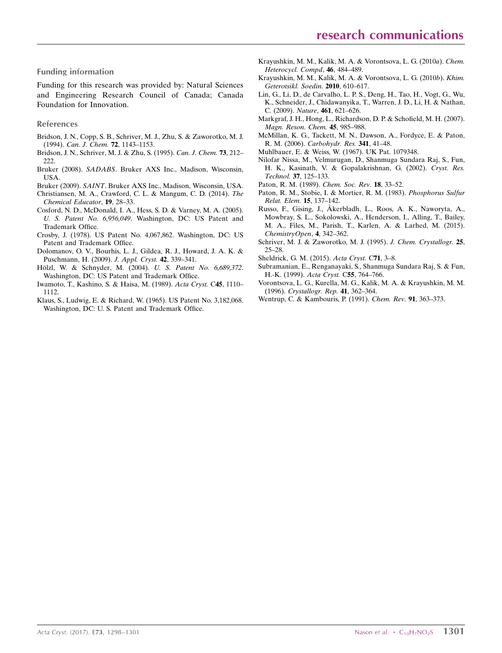#### Funding information

Funding for this research was provided by: Natural Sciences and Engineering Research Council of Canada; Canada Foundation for Innovation.

#### References

- [Bridson, J. N., Copp, S. B., Schriver, M. J., Zhu, S. & Zaworotko, M. J.](https://scripts.iucr.org/cgi-bin/cr.cgi?rm=pdfbb&cnor=hb7694&bbid=BB1) (1994). [Can. J. Chem.](https://scripts.iucr.org/cgi-bin/cr.cgi?rm=pdfbb&cnor=hb7694&bbid=BB1) 72, 1143–1153.
- [Bridson, J. N., Schriver, M. J. & Zhu, S. \(1995\).](https://scripts.iucr.org/cgi-bin/cr.cgi?rm=pdfbb&cnor=hb7694&bbid=BB2) Can. J. Chem. 73, 212– [222.](https://scripts.iucr.org/cgi-bin/cr.cgi?rm=pdfbb&cnor=hb7694&bbid=BB2)
- Bruker (2008). SADABS[. Bruker AXS Inc., Madison, Wisconsin,](https://scripts.iucr.org/cgi-bin/cr.cgi?rm=pdfbb&cnor=hb7694&bbid=BB3) [USA.](https://scripts.iucr.org/cgi-bin/cr.cgi?rm=pdfbb&cnor=hb7694&bbid=BB3)
- Bruker (2009). SAINT[. Bruker AXS Inc., Madison, Wisconsin, USA.](https://scripts.iucr.org/cgi-bin/cr.cgi?rm=pdfbb&cnor=hb7694&bbid=BB4)
- [Christiansen, M. A., Crawford, C. L. & Mangum, C. D. \(2014\).](https://scripts.iucr.org/cgi-bin/cr.cgi?rm=pdfbb&cnor=hb7694&bbid=BB5) The [Chemical Educator](https://scripts.iucr.org/cgi-bin/cr.cgi?rm=pdfbb&cnor=hb7694&bbid=BB5), 19, 28–33.
- [Cosford, N. D., McDonald, I. A., Hess, S. D. & Varney, M. A. \(2005\).](https://scripts.iucr.org/cgi-bin/cr.cgi?rm=pdfbb&cnor=hb7694&bbid=BB6) U. S. Patent No. 6,956,049[. Washington, DC: US Patent and](https://scripts.iucr.org/cgi-bin/cr.cgi?rm=pdfbb&cnor=hb7694&bbid=BB6) [Trademark Office.](https://scripts.iucr.org/cgi-bin/cr.cgi?rm=pdfbb&cnor=hb7694&bbid=BB6)
- [Crosby, J. \(1978\). US Patent No. 4,067,862. Washington, DC: US](https://scripts.iucr.org/cgi-bin/cr.cgi?rm=pdfbb&cnor=hb7694&bbid=BB7) [Patent and Trademark Office.](https://scripts.iucr.org/cgi-bin/cr.cgi?rm=pdfbb&cnor=hb7694&bbid=BB7)
- [Dolomanov, O. V., Bourhis, L. J., Gildea, R. J., Howard, J. A. K. &](https://scripts.iucr.org/cgi-bin/cr.cgi?rm=pdfbb&cnor=hb7694&bbid=BB8) [Puschmann, H. \(2009\).](https://scripts.iucr.org/cgi-bin/cr.cgi?rm=pdfbb&cnor=hb7694&bbid=BB8) J. Appl. Cryst. 42, 339–341.
- Hölzl, W. & Schnyder, M. (2004). U. S. Patent No. 6,689,372. [Washington, DC: US Patent and Trademark Office.](https://scripts.iucr.org/cgi-bin/cr.cgi?rm=pdfbb&cnor=hb7694&bbid=BB9)
- [Iwamoto, T., Kashino, S. & Haisa, M. \(1989\).](https://scripts.iucr.org/cgi-bin/cr.cgi?rm=pdfbb&cnor=hb7694&bbid=BB10) Acta Cryst. C45, 1110– [1112.](https://scripts.iucr.org/cgi-bin/cr.cgi?rm=pdfbb&cnor=hb7694&bbid=BB10)
- [Klaus, S., Ludwig, E. & Richard, W. \(1965\). US Patent No. 3,182,068.](https://scripts.iucr.org/cgi-bin/cr.cgi?rm=pdfbb&cnor=hb7694&bbid=BB11) [Washington, DC: U. S. Patent and Trademark Office.](https://scripts.iucr.org/cgi-bin/cr.cgi?rm=pdfbb&cnor=hb7694&bbid=BB11)
- [Krayushkin, M. M., Kalik, M. A. & Vorontsova, L. G. \(2010](https://scripts.iucr.org/cgi-bin/cr.cgi?rm=pdfbb&cnor=hb7694&bbid=BB12)a). Chem. [Heterocycl. Compd](https://scripts.iucr.org/cgi-bin/cr.cgi?rm=pdfbb&cnor=hb7694&bbid=BB12), 46, 484–489.
- [Krayushkin, M. M., Kalik, M. A. & Vorontsova, L. G. \(2010](https://scripts.iucr.org/cgi-bin/cr.cgi?rm=pdfbb&cnor=hb7694&bbid=BB13)b). Khim. [Geterotsikl. Soedin.](https://scripts.iucr.org/cgi-bin/cr.cgi?rm=pdfbb&cnor=hb7694&bbid=BB13) 2010, 610–617.
- [Lin, G., Li, D., de Carvalho, L. P. S., Deng, H., Tao, H., Vogt, G., Wu,](https://scripts.iucr.org/cgi-bin/cr.cgi?rm=pdfbb&cnor=hb7694&bbid=BB14) [K., Schneider, J., Chidawanyika, T., Warren, J. D., Li, H. & Nathan,](https://scripts.iucr.org/cgi-bin/cr.cgi?rm=pdfbb&cnor=hb7694&bbid=BB14) C. (2009). Nature, 461[, 621–626.](https://scripts.iucr.org/cgi-bin/cr.cgi?rm=pdfbb&cnor=hb7694&bbid=BB14)
- [Markgraf, J. H., Hong, L., Richardson, D. P. & Schofield, M. H. \(2007\).](https://scripts.iucr.org/cgi-bin/cr.cgi?rm=pdfbb&cnor=hb7694&bbid=BB15) [Magn. Reson. Chem.](https://scripts.iucr.org/cgi-bin/cr.cgi?rm=pdfbb&cnor=hb7694&bbid=BB15) 45, 985–988.
- [McMillan, K. G., Tackett, M. N., Dawson, A., Fordyce, E. & Paton,](https://scripts.iucr.org/cgi-bin/cr.cgi?rm=pdfbb&cnor=hb7694&bbid=BB16) R. M. (2006). [Carbohydr. Res.](https://scripts.iucr.org/cgi-bin/cr.cgi?rm=pdfbb&cnor=hb7694&bbid=BB16) 341, 41–48.
- [Muhlbauer, E. & Weiss, W. \(1967\). UK Pat. 1079348.](https://scripts.iucr.org/cgi-bin/cr.cgi?rm=pdfbb&cnor=hb7694&bbid=BB17)
- [Nilofar Nissa, M., Velmurugan, D., Shanmuga Sundara Raj, S., Fun,](https://scripts.iucr.org/cgi-bin/cr.cgi?rm=pdfbb&cnor=hb7694&bbid=BB18) [H. K., Kasinath, V. & Gopalakrishnan, G. \(2002\).](https://scripts.iucr.org/cgi-bin/cr.cgi?rm=pdfbb&cnor=hb7694&bbid=BB18) Cryst. Res. Technol. 37[, 125–133.](https://scripts.iucr.org/cgi-bin/cr.cgi?rm=pdfbb&cnor=hb7694&bbid=BB18)
- [Paton, R. M. \(1989\).](https://scripts.iucr.org/cgi-bin/cr.cgi?rm=pdfbb&cnor=hb7694&bbid=BB19) Chem. Soc. Rev. 18, 33–52.
- [Paton, R. M., Stobie, I. & Mortier, R. M. \(1983\).](https://scripts.iucr.org/cgi-bin/cr.cgi?rm=pdfbb&cnor=hb7694&bbid=BB20) Phosphorus Sulfur [Relat. Elem.](https://scripts.iucr.org/cgi-bin/cr.cgi?rm=pdfbb&cnor=hb7694&bbid=BB20) 15, 137–142.
- Russo, F., Gising, J., A[kerbladh, L., Roos, A. K., Naworyta, A.,](https://scripts.iucr.org/cgi-bin/cr.cgi?rm=pdfbb&cnor=hb7694&bbid=BB21) [Mowbray, S. L., Sokolowski, A., Henderson, I., Alling, T., Bailey,](https://scripts.iucr.org/cgi-bin/cr.cgi?rm=pdfbb&cnor=hb7694&bbid=BB21) [M. A., Files, M., Parish, T., Karlen, A. & Larhed, M. \(2015\).](https://scripts.iucr.org/cgi-bin/cr.cgi?rm=pdfbb&cnor=hb7694&bbid=BB21) [ChemistryOpen](https://scripts.iucr.org/cgi-bin/cr.cgi?rm=pdfbb&cnor=hb7694&bbid=BB21), 4, 342–362.
- [Schriver, M. J. & Zaworotko, M. J. \(1995\).](https://scripts.iucr.org/cgi-bin/cr.cgi?rm=pdfbb&cnor=hb7694&bbid=BB22) J. Chem. Crystallogr. 25, [25–28.](https://scripts.iucr.org/cgi-bin/cr.cgi?rm=pdfbb&cnor=hb7694&bbid=BB22)
- [Sheldrick, G. M. \(2015\).](https://scripts.iucr.org/cgi-bin/cr.cgi?rm=pdfbb&cnor=hb7694&bbid=BB23) Acta Cryst. C71, 3–8.
- [Subramanian, E., Renganayaki, S., Shanmuga Sundara Raj, S. & Fun,](https://scripts.iucr.org/cgi-bin/cr.cgi?rm=pdfbb&cnor=hb7694&bbid=BB24) [H.-K. \(1999\).](https://scripts.iucr.org/cgi-bin/cr.cgi?rm=pdfbb&cnor=hb7694&bbid=BB24) Acta Cryst. C55, 764–766.
- [Vorontsova, L. G., Kurella, M. G., Kalik, M. A. & Krayushkin, M. M.](https://scripts.iucr.org/cgi-bin/cr.cgi?rm=pdfbb&cnor=hb7694&bbid=BB25) (1996). [Crystallogr. Rep.](https://scripts.iucr.org/cgi-bin/cr.cgi?rm=pdfbb&cnor=hb7694&bbid=BB25) 41, 362–364.
- [Wentrup, C. & Kambouris, P. \(1991\).](https://scripts.iucr.org/cgi-bin/cr.cgi?rm=pdfbb&cnor=hb7694&bbid=BB26) Chem. Rev. 91, 363–373.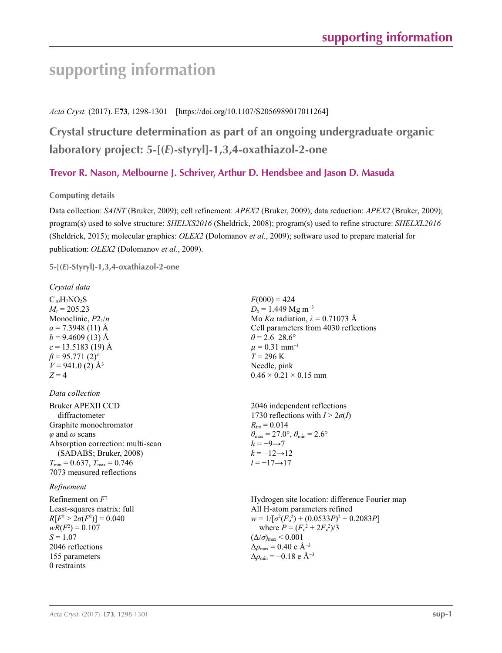# **supporting information**

#### *Acta Cryst.* (2017). E**73**, 1298-1301 [https://doi.org/10.1107/S2056989017011264]

## **Crystal structure determination as part of an ongoing undergraduate organic laboratory project: 5-[(***E***)-styryl]-1,3,4-oxathiazol-2-one**

### **Trevor R. Nason, Melbourne J. Schriver, Arthur D. Hendsbee and Jason D. Masuda**

#### **Computing details**

Data collection: *SAINT* (Bruker, 2009); cell refinement: *APEX2* (Bruker, 2009); data reduction: *APEX2* (Bruker, 2009); program(s) used to solve structure: *SHELXS2016* (Sheldrick, 2008); program(s) used to refine structure: *SHELXL2016* (Sheldrick, 2015); molecular graphics: *OLEX2* (Dolomanov *et al.*, 2009); software used to prepare material for publication: *OLEX2* (Dolomanov *et al.*, 2009).

**5-[(***E***)-Styryl]-1,3,4-oxathiazol-2-one** 

#### *Crystal data*  $C_{10}H_7NO_2S$  $M_r = 205.23$ Monoclinic, *P*21/*n*  $a = 7.3948(11)$  Å  $b = 9.4609(13)$  Å  $c = 13.5183$  (19) Å  $\beta$  = 95.771 (2)<sup>o</sup>  $V = 941.0$  (2)  $\AA^3$  $Z = 4$  $F(000) = 424$  $D_x = 1.449$  Mg m<sup>-3</sup> Mo *Kα* radiation, *λ* = 0.71073 Å Cell parameters from 4030 reflections  $\theta$  = 2.6–28.6°  $\mu$  = 0.31 mm<sup>-1</sup>  $T = 296$  K Needle, pink  $0.46 \times 0.21 \times 0.15$  mm *Data collection* Bruker APEXII CCD diffractometer Graphite monochromator *φ* and *ω* scans Absorption correction: multi-scan (SADABS; Bruker, 2008)  $T_{\text{min}} = 0.637, T_{\text{max}} = 0.746$ 7073 measured reflections 2046 independent reflections 1730 reflections with  $I > 2\sigma(I)$  $R_{\text{int}} = 0.014$  $\theta_{\text{max}} = 27.0^{\circ}, \theta_{\text{min}} = 2.6^{\circ}$  $h = -9 \rightarrow 7$  $k = -12 \rightarrow 12$ *l* = −17→17 *Refinement* Refinement on *F*<sup>2</sup> Least-squares matrix: full  $R[F^2 > 2\sigma(F^2)] = 0.040$  $wR(F^2) = 0.107$  $S = 1.07$ 2046 reflections 155 parameters 0 restraints Hydrogen site location: difference Fourier map All H-atom parameters refined  $w = 1/[\sigma^2 (F_0^2) + (0.0533P)^2 + 0.2083P]$ where  $P = (F_o^2 + 2F_c^2)/3$  $(\Delta/\sigma)_{\text{max}}$  < 0.001  $\Delta\rho_{\text{max}} = 0.40 \text{ e } \text{\AA}^{-3}$  $\Delta \rho_{\rm min} = -0.18$  e Å<sup>-3</sup>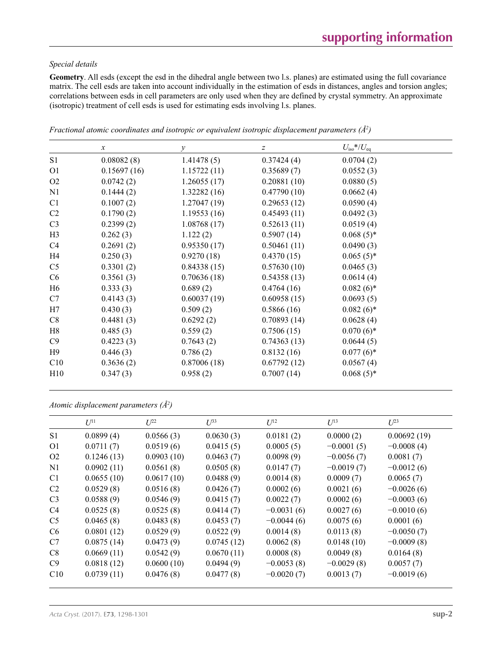#### *Special details*

**Geometry**. All esds (except the esd in the dihedral angle between two l.s. planes) are estimated using the full covariance matrix. The cell esds are taken into account individually in the estimation of esds in distances, angles and torsion angles; correlations between esds in cell parameters are only used when they are defined by crystal symmetry. An approximate (isotropic) treatment of cell esds is used for estimating esds involving l.s. planes.

|                | $\boldsymbol{\chi}$ | $\mathcal{Y}$ | z           | $U_{\rm iso}$ */ $U_{\rm eq}$ |
|----------------|---------------------|---------------|-------------|-------------------------------|
| S1             | 0.08082(8)          | 1.41478(5)    | 0.37424(4)  | 0.0704(2)                     |
| O <sub>1</sub> | 0.15697(16)         | 1.15722(11)   | 0.35689(7)  | 0.0552(3)                     |
| O <sub>2</sub> | 0.0742(2)           | 1.26055(17)   | 0.20881(10) | 0.0880(5)                     |
| N1             | 0.1444(2)           | 1.32282(16)   | 0.47790(10) | 0.0662(4)                     |
| C <sub>1</sub> | 0.1007(2)           | 1.27047(19)   | 0.29653(12) | 0.0590(4)                     |
| C2             | 0.1790(2)           | 1.19553(16)   | 0.45493(11) | 0.0492(3)                     |
| C <sub>3</sub> | 0.2399(2)           | 1.08768(17)   | 0.52613(11) | 0.0519(4)                     |
| H <sub>3</sub> | 0.262(3)            | 1.122(2)      | 0.5907(14)  | $0.068(5)$ *                  |
| C4             | 0.2691(2)           | 0.95350(17)   | 0.50461(11) | 0.0490(3)                     |
| H4             | 0.250(3)            | 0.9270(18)    | 0.4370(15)  | $0.065(5)$ *                  |
| C <sub>5</sub> | 0.3301(2)           | 0.84338(15)   | 0.57630(10) | 0.0465(3)                     |
| C <sub>6</sub> | 0.3561(3)           | 0.70636(18)   | 0.54358(13) | 0.0614(4)                     |
| H <sub>6</sub> | 0.333(3)            | 0.689(2)      | 0.4764(16)  | $0.082(6)*$                   |
| C7             | 0.4143(3)           | 0.60037(19)   | 0.60958(15) | 0.0693(5)                     |
| H7             | 0.430(3)            | 0.509(2)      | 0.5866(16)  | $0.082(6)*$                   |
| C8             | 0.4481(3)           | 0.6292(2)     | 0.70893(14) | 0.0628(4)                     |
| H8             | 0.485(3)            | 0.559(2)      | 0.7506(15)  | $0.070(6)$ *                  |
| C9             | 0.4223(3)           | 0.7643(2)     | 0.74363(13) | 0.0644(5)                     |
| H9             | 0.446(3)            | 0.786(2)      | 0.8132(16)  | $0.077(6)$ *                  |
| C10            | 0.3636(2)           | 0.87006(18)   | 0.67792(12) | 0.0567(4)                     |
| H10            | 0.347(3)            | 0.958(2)      | 0.7007(14)  | $0.068(5)$ *                  |

*Fractional atomic coordinates and isotropic or equivalent isotropic displacement parameters (Å2 )*

*Atomic displacement parameters (Å2 )*

|                | $U^{11}$   | $U^{22}$   | $U^{33}$   | $U^{12}$     | $U^{13}$     | $L^{23}$     |
|----------------|------------|------------|------------|--------------|--------------|--------------|
| S <sub>1</sub> | 0.0899(4)  | 0.0566(3)  | 0.0630(3)  | 0.0181(2)    | 0.0000(2)    | 0.00692(19)  |
| O <sub>1</sub> | 0.0711(7)  | 0.0519(6)  | 0.0415(5)  | 0.0005(5)    | $-0.0001(5)$ | $-0.0008(4)$ |
| O <sub>2</sub> | 0.1246(13) | 0.0903(10) | 0.0463(7)  | 0.0098(9)    | $-0.0056(7)$ | 0.0081(7)    |
| N1             | 0.0902(11) | 0.0561(8)  | 0.0505(8)  | 0.0147(7)    | $-0.0019(7)$ | $-0.0012(6)$ |
| C <sub>1</sub> | 0.0655(10) | 0.0617(10) | 0.0488(9)  | 0.0014(8)    | 0.0009(7)    | 0.0065(7)    |
| C <sub>2</sub> | 0.0529(8)  | 0.0516(8)  | 0.0426(7)  | 0.0002(6)    | 0.0021(6)    | $-0.0026(6)$ |
| C <sub>3</sub> | 0.0588(9)  | 0.0546(9)  | 0.0415(7)  | 0.0022(7)    | 0.0002(6)    | $-0.0003(6)$ |
| C <sub>4</sub> | 0.0525(8)  | 0.0525(8)  | 0.0414(7)  | $-0.0031(6)$ | 0.0027(6)    | $-0.0010(6)$ |
| C <sub>5</sub> | 0.0465(8)  | 0.0483(8)  | 0.0453(7)  | $-0.0044(6)$ | 0.0075(6)    | 0.0001(6)    |
| C <sub>6</sub> | 0.0801(12) | 0.0529(9)  | 0.0522(9)  | 0.0014(8)    | 0.0113(8)    | $-0.0050(7)$ |
| C <sub>7</sub> | 0.0875(14) | 0.0473(9)  | 0.0745(12) | 0.0062(8)    | 0.0148(10)   | $-0.0009(8)$ |
| C8             | 0.0669(11) | 0.0542(9)  | 0.0670(11) | 0.0008(8)    | 0.0049(8)    | 0.0164(8)    |
| C9             | 0.0818(12) | 0.0600(10) | 0.0494(9)  | $-0.0053(8)$ | $-0.0029(8)$ | 0.0057(7)    |
| C10            | 0.0739(11) | 0.0476(8)  | 0.0477(8)  | $-0.0020(7)$ | 0.0013(7)    | $-0.0019(6)$ |